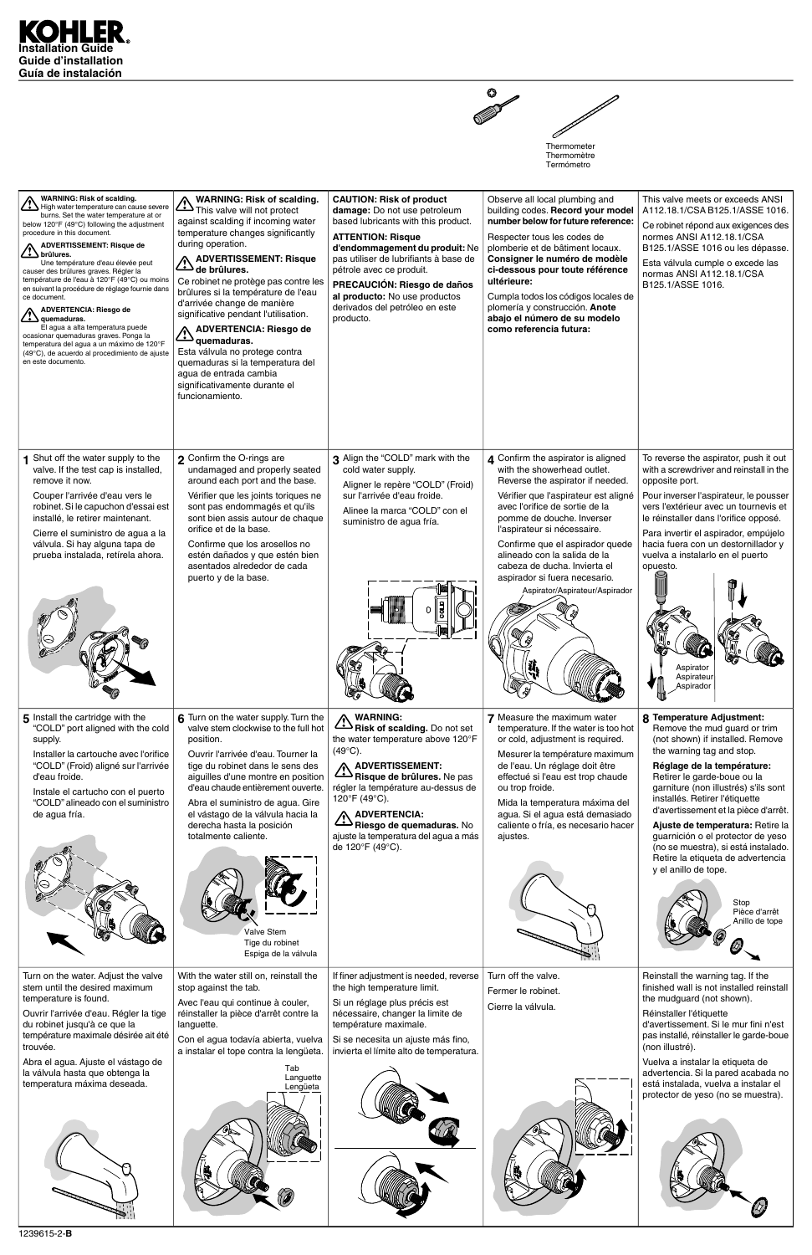



| <b>WARNING: Risk of scalding.</b><br>$\Delta$ High water temperature can cause severe<br>burns. Set the water temperature at or<br>below 120°F (49°C) following the adjustment<br>procedure in this document.<br><b>ADVERTISSEMENT: Risque de</b><br>$\angle$ <b>b</b> brûlures.<br>Une température d'eau élevée peut<br>causer des brûlures graves. Régler la<br>température de l'eau à 120°F (49°C) ou moins<br>en suivant la procédure de réglage fournie dans<br>ce document.<br><b>ADVERTENCIA: Riesgo de</b><br><u>∴•̀ \</u> quemaduras.<br>El agua a alta temperatura puede<br>ocasionar quemaduras graves. Ponga la<br>temperatura del agua a un máximo de 120°F<br>(49°C), de acuerdo al procedimiento de ajuste<br>en este documento. | <b>WARNING: Risk of scalding.</b><br>WARNING. Fig. 2. This valve will not protect<br>against scalding if incoming water<br>temperature changes significantly<br>during operation.<br><b>ADVERTISSEMENT: Risque</b><br>de brûlures.<br>Ce robinet ne protège pas contre les<br>brûlures si la température de l'eau<br>d'arrivée change de manière<br>significative pendant l'utilisation.<br><b>ADVERTENCIA: Riesgo de</b><br>quemaduras.<br>Esta válvula no protege contra<br>quemaduras si la temperatura del<br>agua de entrada cambia<br>significativamente durante el<br>funcionamiento. | <b>CAUTION: Risk of product</b><br>damage: Do not use petroleum<br>based lubricants with this product.<br><b>ATTENTION: Risque</b><br>d'endommagement du produit: Ne<br>pas utiliser de lubrifiants à base de<br>pétrole avec ce produit.<br>PRECAUCIÓN: Riesgo de daños<br>al producto: No use productos<br>derivados del petróleo en este<br>producto. | Observe all local plumbing and<br>building codes. Record your model<br>number below for future reference:<br>Respecter tous les codes de<br>plomberie et de bâtiment locaux.<br>Consigner le numéro de modèle<br>ci-dessous pour toute référence<br>ultérieure:<br>Cumpla todos los códigos locales de<br>plomería y construcción. Anote<br>abajo el número de su modelo<br>como referencia futura:                      | This valve meets or exceeds ANSI<br>A112.18.1/CSA B125.1/ASSE 1016.<br>Ce robinet répond aux exigences des<br>normes ANSI A112.18.1/CSA<br>B125.1/ASSE 1016 ou les dépasse.<br>Esta válvula cumple o excede las<br>normas ANSI A112.18.1/CSA<br>B125.1/ASSE 1016.                                                                                                                                                                                                                                               |
|-------------------------------------------------------------------------------------------------------------------------------------------------------------------------------------------------------------------------------------------------------------------------------------------------------------------------------------------------------------------------------------------------------------------------------------------------------------------------------------------------------------------------------------------------------------------------------------------------------------------------------------------------------------------------------------------------------------------------------------------------|----------------------------------------------------------------------------------------------------------------------------------------------------------------------------------------------------------------------------------------------------------------------------------------------------------------------------------------------------------------------------------------------------------------------------------------------------------------------------------------------------------------------------------------------------------------------------------------------|----------------------------------------------------------------------------------------------------------------------------------------------------------------------------------------------------------------------------------------------------------------------------------------------------------------------------------------------------------|--------------------------------------------------------------------------------------------------------------------------------------------------------------------------------------------------------------------------------------------------------------------------------------------------------------------------------------------------------------------------------------------------------------------------|-----------------------------------------------------------------------------------------------------------------------------------------------------------------------------------------------------------------------------------------------------------------------------------------------------------------------------------------------------------------------------------------------------------------------------------------------------------------------------------------------------------------|
| Shut off the water supply to the<br>valve. If the test cap is installed,<br>remove it now.<br>Couper l'arrivée d'eau vers le<br>robinet. Si le capuchon d'essai est<br>installé, le retirer maintenant.<br>Cierre el suministro de agua a la<br>válvula. Si hay alguna tapa de<br>prueba instalada, retírela ahora.                                                                                                                                                                                                                                                                                                                                                                                                                             | 2 Confirm the O-rings are<br>undamaged and properly seated<br>around each port and the base.<br>Vérifier que les joints toriques ne<br>sont pas endommagés et qu'ils<br>sont bien assis autour de chaque<br>orifice et de la base.<br>Confirme que los arosellos no<br>estén dañados y que estén bien<br>asentados alrededor de cada<br>puerto y de la base.                                                                                                                                                                                                                                 | 3 Align the "COLD" mark with the<br>cold water supply.<br>Aligner le repère "COLD" (Froid)<br>sur l'arrivée d'eau froide.<br>Alinee la marca "COLD" con el<br>suministro de agua fría.                                                                                                                                                                   | 4 Confirm the aspirator is aligned<br>with the showerhead outlet.<br>Reverse the aspirator if needed.<br>Vérifier que l'aspirateur est aligné<br>avec l'orifice de sortie de la<br>pomme de douche. Inverser<br>l'aspirateur si nécessaire.<br>Confirme que el aspirador quede<br>alineado con la salida de la<br>cabeza de ducha. Invierta el<br>aspirador si fuera necesario.<br>Aspirator/Aspirateur/Aspirador<br>- 1 | To reverse the aspirator, push it out<br>with a screwdriver and reinstall in the<br>opposite port.<br>Pour inverser l'aspirateur, le pousser<br>vers l'extérieur avec un tournevis et<br>le réinstaller dans l'orifice opposé.<br>Para invertir el aspirador, empújelo<br>hacia fuera con un destornillador y<br>vuelva a instalarlo en el puerto<br>opuesto.<br>Aspirator<br>Aspirateur<br>Aspirador                                                                                                           |
| 5 Install the cartridge with the<br>"COLD" port aligned with the cold<br>supply.<br>Installer la cartouche avec l'orifice<br>"COLD" (Froid) aligné sur l'arrivée<br>d'eau froide.<br>Instale el cartucho con el puerto<br>"COLD" alineado con el suministro<br>de agua fría.                                                                                                                                                                                                                                                                                                                                                                                                                                                                    | 6 Turn on the water supply. Turn the<br>valve stem clockwise to the full hot<br>position.<br>Ouvrir l'arrivée d'eau. Tourner la<br>tige du robinet dans le sens des<br>aiguilles d'une montre en position<br>d'eau chaude entièrement ouverte.<br>Abra el suministro de agua. Gire<br>el vástago de la válvula hacia la<br>derecha hasta la posición<br>totalmente caliente.                                                                                                                                                                                                                 | <b>WARNING:</b><br>Risk of scalding. Do not set<br>the water temperature above 120°F<br>$(49^{\circ}C).$<br>ADVERTISSEMENT:<br>Risque de brûlures. Ne pas<br>régler la température au-dessus de<br>120°F (49°C).<br><b>ADVERTENCIA:</b><br>Riesgo de quemaduras. No<br>ajuste la temperatura del agua a más<br>de 120°F (49°C).                          | 7 Measure the maximum water<br>temperature. If the water is too hot<br>or cold, adjustment is required.<br>Mesurer la température maximum<br>de l'eau. Un réglage doit être<br>effectué si l'eau est trop chaude<br>ou trop froide.<br>Mida la temperatura máxima del<br>agua. Si el agua está demasiado<br>caliente o fría, es necesario hacer<br>ajustes.                                                              | 8 Temperature Adjustment:<br>Remove the mud guard or trim<br>(not shown) if installed. Remove<br>the warning tag and stop.<br>Réglage de la température:<br>Retirer le garde-boue ou la<br>garniture (non illustrés) s'ils sont<br>installés. Retirer l'étiquette<br>d'avertissement et la pièce d'arrêt.<br>Ajuste de temperatura: Retire la<br>guarnición o el protector de yeso<br>(no se muestra), si está instalado.<br>Retire la etiqueta de advertencia<br>y el anillo de tope.<br>Stop<br>Pièce d'arrêt |



|                                                                                                                                                                                                                                                                                                                                      | Valve Stem<br>Tige du robinet<br>Espiga de la válvula                                                                                                                                                                                                                         |                                                                                                                                                                                                                                                      |                                                                 | Stop<br>Pièce d'arrêt<br>Anillo de tope                                                                                                                                                                                                                                                                                                                                                               |
|--------------------------------------------------------------------------------------------------------------------------------------------------------------------------------------------------------------------------------------------------------------------------------------------------------------------------------------|-------------------------------------------------------------------------------------------------------------------------------------------------------------------------------------------------------------------------------------------------------------------------------|------------------------------------------------------------------------------------------------------------------------------------------------------------------------------------------------------------------------------------------------------|-----------------------------------------------------------------|-------------------------------------------------------------------------------------------------------------------------------------------------------------------------------------------------------------------------------------------------------------------------------------------------------------------------------------------------------------------------------------------------------|
| Turn on the water. Adjust the valve<br>stem until the desired maximum<br>temperature is found.<br>Ouvrir l'arrivée d'eau. Régler la tige<br>du robinet jusqu'à ce que la<br>température maximale désirée ait été<br>trouvée.<br>Abra el agua. Ajuste el vástago de<br>la válvula hasta que obtenga la<br>temperatura máxima deseada. | With the water still on, reinstall the<br>stop against the tab.<br>Avec l'eau qui continue à couler,<br>réinstaller la pièce d'arrêt contre la<br>languette.<br>Con el agua todavía abierta, vuelva<br>a instalar el tope contra la lengüeta.<br>Tab<br>Languette<br>Lengüeta | If finer adjustment is needed, reverse<br>the high temperature limit.<br>Si un réglage plus précis est<br>nécessaire, changer la limite de<br>température maximale.<br>Si se necesita un ajuste más fino,<br>invierta el límite alto de temperatura. | Turn off the valve.<br>Fermer le robinet.<br>Cierre la válvula. | Reinstall the warning tag. If the<br>finished wall is not installed reinstall<br>the mudguard (not shown).<br>Réinstaller l'étiquette<br>d'avertissement. Si le mur fini n'est<br>pas installé, réinstaller le garde-boue<br>(non illustré).<br>Vuelva a instalar la etiqueta de<br>advertencia. Si la pared acabada no<br>está instalada, vuelva a instalar el<br>protector de yeso (no se muestra). |
| 1239615-2-B                                                                                                                                                                                                                                                                                                                          |                                                                                                                                                                                                                                                                               |                                                                                                                                                                                                                                                      |                                                                 |                                                                                                                                                                                                                                                                                                                                                                                                       |